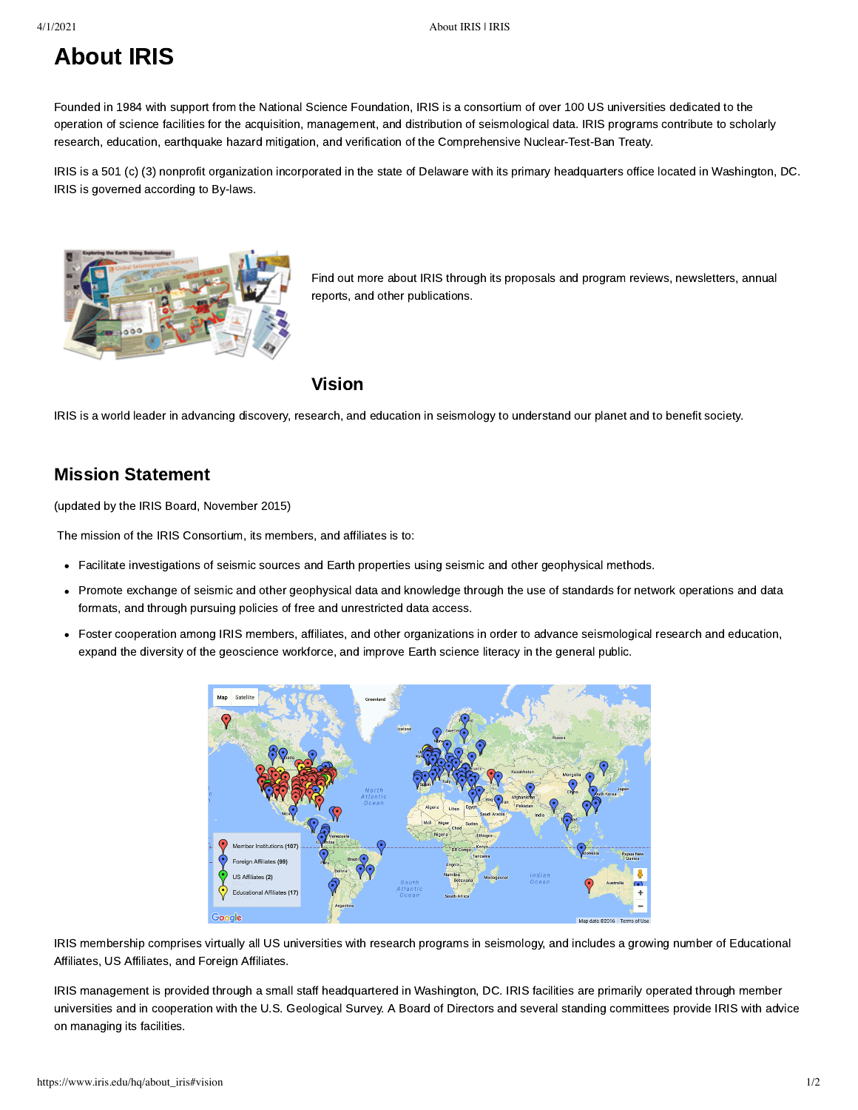## About IRIS

Founded in 1984 with support from the [National Science Foundation](http://www.nsf.gov/), IRIS is a consortium of over 100 US universities dedicated to the operation of science facilities for the acquisition, management, and distribution of seismological data. IRIS programs contribute to scholarly research, education, earthquake hazard mitigation, and verification of the Comprehensive Nuclear-Test-Ban Treaty.

IRIS is a 501 (c) (3) nonprofit organization incorporated in the state of Delaware with its primary headquarters office located in Washington, DC. IRIS is governed according to [By-laws.](https://www.iris.edu/hq/audience/committees/bylaws)



[Find out more about IRIS through its p](https://www.iris.edu/hq/publications/annual_reports)[roposals and program reviews](https://www.iris.edu/hq/publications/proposals_and_reviews)[, n](https://www.iris.edu/hq/publications/annual_reports)[ewsletter](https://www.iris.edu/hq/publications/newsletters/iris)[s, annual](https://www.iris.edu/hq/publications/annual_reports) reports, and [other publications.](https://www.iris.edu/hq/publications)

## Vision

IRIS is a world leader in advancing discovery, research, and education in seismology to understand our planet and to benefit society.

## Mission Statement

(updated by the IRIS Board, November 2015)

The mission of the IRIS Consortium, its members, and affiliates is to:

- Facilitate investigations of seismic sources and Earth properties using seismic and other geophysical methods.
- Promote exchange of seismic and other geophysical data and knowledge through the use of standards for network operations and data formats, and through pursuing policies of free and unrestricted data access.
- Foster cooperation among IRIS members, affiliates, and other organizations in order to advance seismological research and education, expand the diversity of the geoscience workforce, and improve Earth science literacy in the general public.



[IRIS membership](https://www.iris.edu/hq/files/about_iris/main_page/images/IRIS_MemberMap_big.jpg) [comprises virtually all US universities with research programs in seismology, and includes a growing number of Educational](https://www.iris.edu/hq/about_iris/membership/educational_affiliates) Affiliates, [US Affiliates,](https://www.iris.edu/hq/about_iris/membership/us_affiliates) and [Foreign Affiliates](https://www.iris.edu/hq/about_iris/membership/foreign_affiliates).

IRIS management is provided through a small staff headquartered in Washington, DC. IRIS facilities are primarily operated through member universities and in cooperation with the [U.S. Geological Survey.](http://www.usgs.gov/) A [Board of Directors and several standing committees](https://www.iris.edu/hq/about_iris/governance) provide IRIS with advice on managing its facilities.